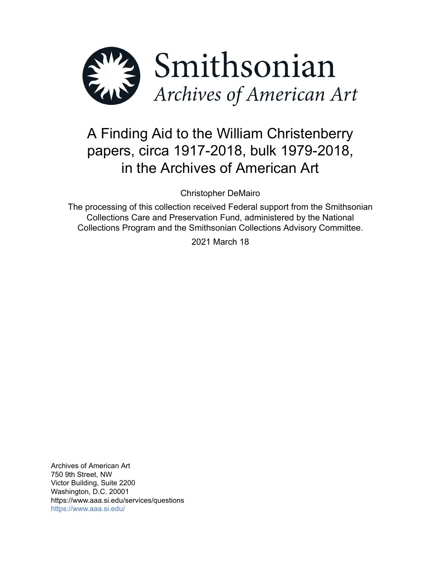

# A Finding Aid to the William Christenberry papers, circa 1917-2018, bulk 1979-2018, in the Archives of American Art

Christopher DeMairo

The processing of this collection received Federal support from the Smithsonian Collections Care and Preservation Fund, administered by the National Collections Program and the Smithsonian Collections Advisory Committee.

2021 March 18

Archives of American Art 750 9th Street, NW Victor Building, Suite 2200 Washington, D.C. 20001 https://www.aaa.si.edu/services/questions <https://www.aaa.si.edu/>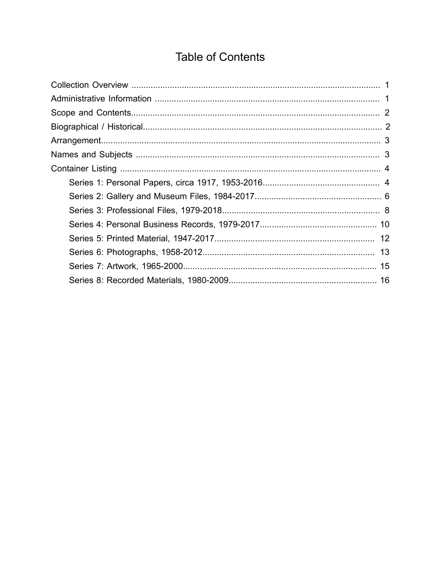## **Table of Contents**

<span id="page-1-0"></span>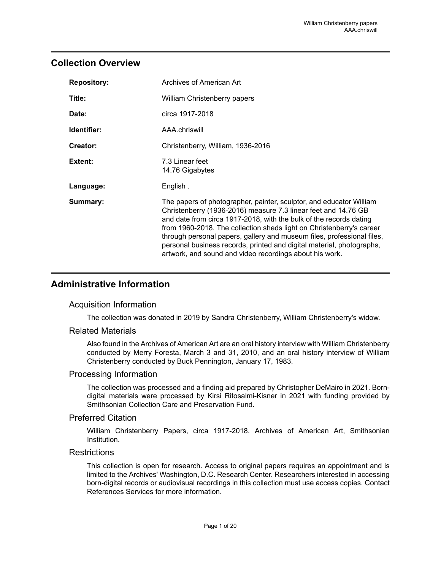## <span id="page-2-0"></span>**Collection Overview**

| <b>Repository:</b> | Archives of American Art                                                                                                                                                                                                                                                                                                                                                                                                                                                                          |
|--------------------|---------------------------------------------------------------------------------------------------------------------------------------------------------------------------------------------------------------------------------------------------------------------------------------------------------------------------------------------------------------------------------------------------------------------------------------------------------------------------------------------------|
| Title:             | William Christenberry papers                                                                                                                                                                                                                                                                                                                                                                                                                                                                      |
| Date:              | circa 1917-2018                                                                                                                                                                                                                                                                                                                                                                                                                                                                                   |
| Identifier:        | AAA chriswill                                                                                                                                                                                                                                                                                                                                                                                                                                                                                     |
| Creator:           | Christenberry, William, 1936-2016                                                                                                                                                                                                                                                                                                                                                                                                                                                                 |
| Extent:            | 7.3 Linear feet<br>14.76 Gigabytes                                                                                                                                                                                                                                                                                                                                                                                                                                                                |
| Language:          | English.                                                                                                                                                                                                                                                                                                                                                                                                                                                                                          |
| Summary:           | The papers of photographer, painter, sculptor, and educator William<br>Christenberry (1936-2016) measure 7.3 linear feet and 14.76 GB<br>and date from circa 1917-2018, with the bulk of the records dating<br>from 1960-2018. The collection sheds light on Christenberry's career<br>through personal papers, gallery and museum files, professional files,<br>personal business records, printed and digital material, photographs,<br>artwork, and sound and video recordings about his work. |

## <span id="page-2-1"></span>**Administrative Information**

#### Acquisition Information

The collection was donated in 2019 by Sandra Christenberry, William Christenberry's widow.

#### Related Materials

Also found in the Archives of American Art are an oral history interview with William Christenberry conducted by Merry Foresta, March 3 and 31, 2010, and an oral history interview of William Christenberry conducted by Buck Pennington, January 17, 1983.

#### Processing Information

The collection was processed and a finding aid prepared by Christopher DeMairo in 2021. Borndigital materials were processed by Kirsi Ritosalmi-Kisner in 2021 with funding provided by Smithsonian Collection Care and Preservation Fund.

#### Preferred Citation

William Christenberry Papers, circa 1917-2018. Archives of American Art, Smithsonian Institution.

#### **Restrictions**

This collection is open for research. Access to original papers requires an appointment and is limited to the Archives' Washington, D.C. Research Center. Researchers interested in accessing born-digital records or audiovisual recordings in this collection must use access copies. Contact References Services for more information.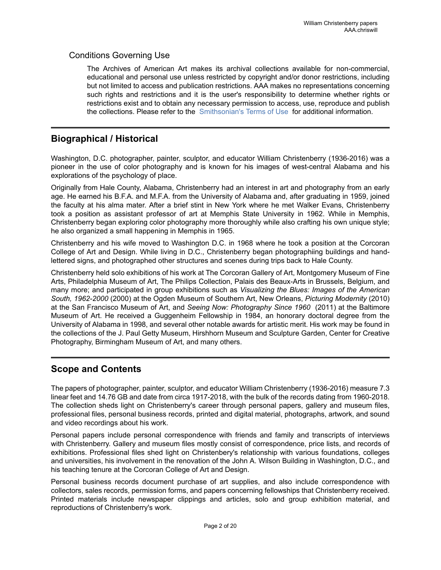### Conditions Governing Use

The Archives of American Art makes its archival collections available for non-commercial, educational and personal use unless restricted by copyright and/or donor restrictions, including but not limited to access and publication restrictions. AAA makes no representations concerning such rights and restrictions and it is the user's responsibility to determine whether rights or restrictions exist and to obtain any necessary permission to access, use, reproduce and publish the collections. Please refer to the [Smithsonian's](https://www.si.edu/termsofuse) Terms of Use for additional information.

## <span id="page-3-1"></span>**Biographical / Historical**

Washington, D.C. photographer, painter, sculptor, and educator William Christenberry (1936-2016) was a pioneer in the use of color photography and is known for his images of west-central Alabama and his explorations of the psychology of place.

Originally from Hale County, Alabama, Christenberry had an interest in art and photography from an early age. He earned his B.F.A. and M.F.A. from the University of Alabama and, after graduating in 1959, joined the faculty at his alma mater. After a brief stint in New York where he met Walker Evans, Christenberry took a position as assistant professor of art at Memphis State University in 1962. While in Memphis, Christenberry began exploring color photography more thoroughly while also crafting his own unique style; he also organized a small happening in Memphis in 1965.

Christenberry and his wife moved to Washington D.C. in 1968 where he took a position at the Corcoran College of Art and Design. While living in D.C., Christenberry began photographiing buildings and handlettered signs, and photographed other structures and scenes during trips back to Hale County.

Christenberry held solo exhibitions of his work at The Corcoran Gallery of Art, Montgomery Museum of Fine Arts, Philadelphia Museum of Art, The Philips Collection, Palais des Beaux-Arts in Brussels, Belgium, and many more; and participated in group exhibitions such as *Visualizing the Blues: Images of the American South, 1962-2000* (2000) at the Ogden Museum of Southern Art, New Orleans, *Picturing Modernity* (2010) at the San Francisco Museum of Art, and *Seeing Now: Photography Since 1960* (2011) at the Baltimore Museum of Art. He received a Guggenheim Fellowship in 1984, an honorary doctoral degree from the University of Alabama in 1998, and several other notable awards for artistic merit. His work may be found in the collections of the J. Paul Getty Museum, Hirshhorn Museum and Sculpture Garden, Center for Creative Photography, Birmingham Museum of Art, and many others.

## <span id="page-3-0"></span>**Scope and Contents**

The papers of photographer, painter, sculptor, and educator William Christenberry (1936-2016) measure 7.3 linear feet and 14.76 GB and date from circa 1917-2018, with the bulk of the records dating from 1960-2018. The collection sheds light on Christenberry's career through personal papers, gallery and museum files, professional files, personal business records, printed and digital material, photographs, artwork, and sound and video recordings about his work.

Personal papers include personal correspondence with friends and family and transcripts of interviews with Christenberry. Gallery and museum files mostly consist of correspondence, price lists, and records of exhibitions. Professional files shed light on Christenbery's relationship with various foundations, colleges and universities, his involvement in the renovation of the John A. Wilson Building in Washington, D.C., and his teaching tenure at the Corcoran College of Art and Design.

Personal business records document purchase of art supplies, and also include correspondence with collectors, sales records, permission forms, and papers concerning fellowships that Christenberry received. Printed materials include newspaper clippings and articles, solo and group exhibition material, and reproductions of Christenberry's work.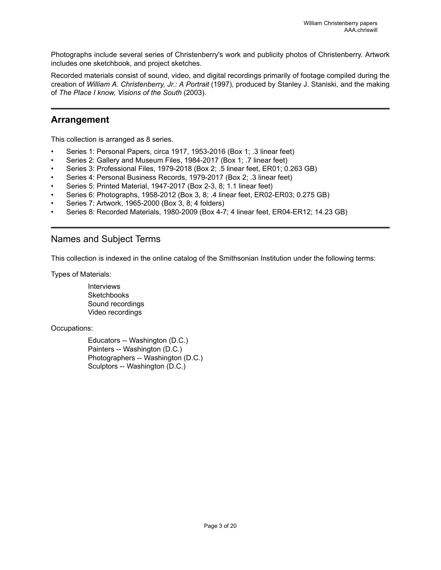Photographs include several series of Christenberry's work and publicity photos of Christenberry. Artwork includes one sketchbook, and project sketches.

Recorded materials consist of sound, video, and digital recordings primarily of footage compiled during the creation of *William A. Christenberry, Jr.: A Portrait* (1997), produced by Stanley J. Staniski, and the making of *The Place I know, Visions of the South* (2003).

## <span id="page-4-0"></span>**Arrangement**

This collection is arranged as 8 series.

- Series 1: Personal Papers, circa 1917, 1953-2016 (Box 1; .3 linear feet)
- Series 2: Gallery and Museum Files, 1984-2017 (Box 1; .7 linear feet)
- Series 3: Professional Files, 1979-2018 (Box 2; .5 linear feet, ER01; 0.263 GB)
- Series 4: Personal Business Records, 1979-2017 (Box 2; .3 linear feet)
- Series 5: Printed Material, 1947-2017 (Box 2-3, 8; 1.1 linear feet)
- Series 6: Photographs, 1958-2012 (Box 3, 8; .4 linear feet, ER02-ER03; 0.275 GB)
- Series 7: Artwork, 1965-2000 (Box 3, 8; 4 folders)
- Series 8: Recorded Materials, 1980-2009 (Box 4-7; 4 linear feet, ER04-ER12; 14.23 GB)

## <span id="page-4-1"></span>Names and Subject Terms

This collection is indexed in the online catalog of the Smithsonian Institution under the following terms:

Types of Materials:

Interviews **Sketchbooks** Sound recordings Video recordings

Occupations:

Educators -- Washington (D.C.) Painters -- Washington (D.C.) Photographers -- Washington (D.C.) Sculptors -- Washington (D.C.)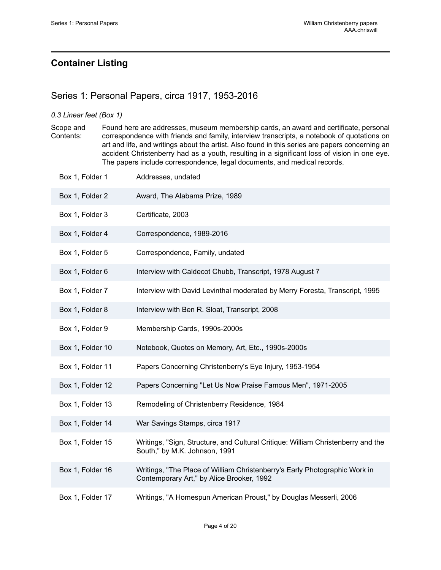## <span id="page-5-0"></span>**Container Listing**

## <span id="page-5-1"></span>Series 1: Personal Papers, circa 1917, 1953-2016

#### *0.3 Linear feet (Box 1)*

Scope and Contents: Found here are addresses, museum membership cards, an award and certificate, personal correspondence with friends and family, interview transcripts, a notebook of quotations on art and life, and writings about the artist. Also found in this series are papers concerning an accident Christenberry had as a youth, resulting in a significant loss of vision in one eye. The papers include correspondence, legal documents, and medical records.

| Box 1, Folder 1  | Addresses, undated                                                                                                      |
|------------------|-------------------------------------------------------------------------------------------------------------------------|
| Box 1, Folder 2  | Award, The Alabama Prize, 1989                                                                                          |
| Box 1, Folder 3  | Certificate, 2003                                                                                                       |
| Box 1, Folder 4  | Correspondence, 1989-2016                                                                                               |
| Box 1, Folder 5  | Correspondence, Family, undated                                                                                         |
| Box 1, Folder 6  | Interview with Caldecot Chubb, Transcript, 1978 August 7                                                                |
| Box 1, Folder 7  | Interview with David Levinthal moderated by Merry Foresta, Transcript, 1995                                             |
| Box 1, Folder 8  | Interview with Ben R. Sloat, Transcript, 2008                                                                           |
| Box 1, Folder 9  | Membership Cards, 1990s-2000s                                                                                           |
| Box 1, Folder 10 | Notebook, Quotes on Memory, Art, Etc., 1990s-2000s                                                                      |
| Box 1, Folder 11 | Papers Concerning Christenberry's Eye Injury, 1953-1954                                                                 |
| Box 1, Folder 12 | Papers Concerning "Let Us Now Praise Famous Men", 1971-2005                                                             |
| Box 1, Folder 13 | Remodeling of Christenberry Residence, 1984                                                                             |
| Box 1, Folder 14 | War Savings Stamps, circa 1917                                                                                          |
| Box 1, Folder 15 | Writings, "Sign, Structure, and Cultural Critique: William Christenberry and the<br>South," by M.K. Johnson, 1991       |
| Box 1, Folder 16 | Writings, "The Place of William Christenberry's Early Photographic Work in<br>Contemporary Art," by Alice Brooker, 1992 |
| Box 1, Folder 17 | Writings, "A Homespun American Proust," by Douglas Messerli, 2006                                                       |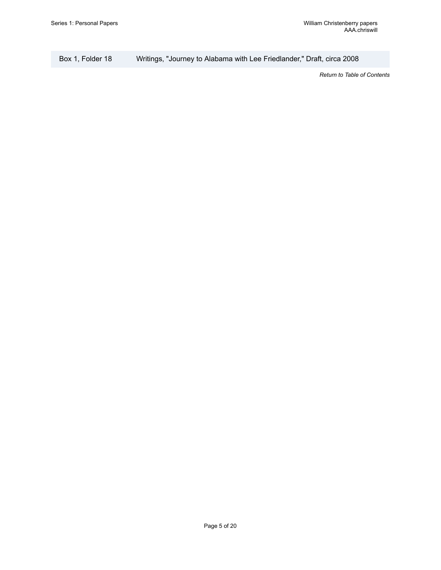Box 1, Folder 18 Writings, "Journey to Alabama with Lee Friedlander," Draft, circa 2008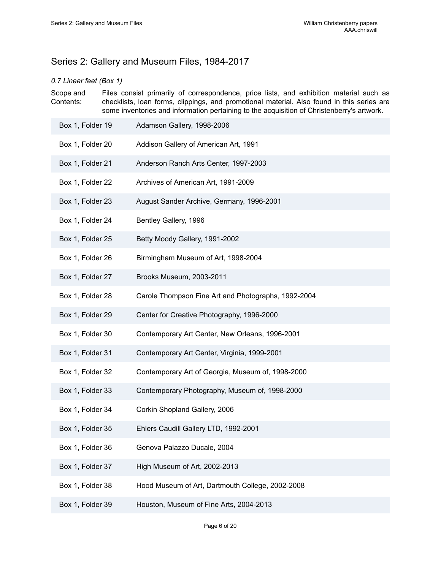## <span id="page-7-0"></span>Series 2: Gallery and Museum Files, 1984-2017

#### *0.7 Linear feet (Box 1)*

Scope and Contents: Files consist primarily of correspondence, price lists, and exhibition material such as checklists, loan forms, clippings, and promotional material. Also found in this series are some inventories and information pertaining to the acquisition of Christenberry's artwork.

| Box 1, Folder 19 | Adamson Gallery, 1998-2006                          |
|------------------|-----------------------------------------------------|
| Box 1, Folder 20 | Addison Gallery of American Art, 1991               |
| Box 1, Folder 21 | Anderson Ranch Arts Center, 1997-2003               |
| Box 1, Folder 22 | Archives of American Art, 1991-2009                 |
| Box 1, Folder 23 | August Sander Archive, Germany, 1996-2001           |
| Box 1, Folder 24 | Bentley Gallery, 1996                               |
| Box 1, Folder 25 | Betty Moody Gallery, 1991-2002                      |
| Box 1, Folder 26 | Birmingham Museum of Art, 1998-2004                 |
| Box 1, Folder 27 | Brooks Museum, 2003-2011                            |
| Box 1, Folder 28 | Carole Thompson Fine Art and Photographs, 1992-2004 |
| Box 1, Folder 29 | Center for Creative Photography, 1996-2000          |
| Box 1, Folder 30 | Contemporary Art Center, New Orleans, 1996-2001     |
| Box 1, Folder 31 | Contemporary Art Center, Virginia, 1999-2001        |
| Box 1, Folder 32 | Contemporary Art of Georgia, Museum of, 1998-2000   |
| Box 1, Folder 33 | Contemporary Photography, Museum of, 1998-2000      |
| Box 1, Folder 34 | Corkin Shopland Gallery, 2006                       |
| Box 1, Folder 35 | Ehlers Caudill Gallery LTD, 1992-2001               |
| Box 1, Folder 36 | Genova Palazzo Ducale, 2004                         |
| Box 1, Folder 37 | High Museum of Art, 2002-2013                       |
| Box 1, Folder 38 | Hood Museum of Art, Dartmouth College, 2002-2008    |
| Box 1, Folder 39 | Houston, Museum of Fine Arts, 2004-2013             |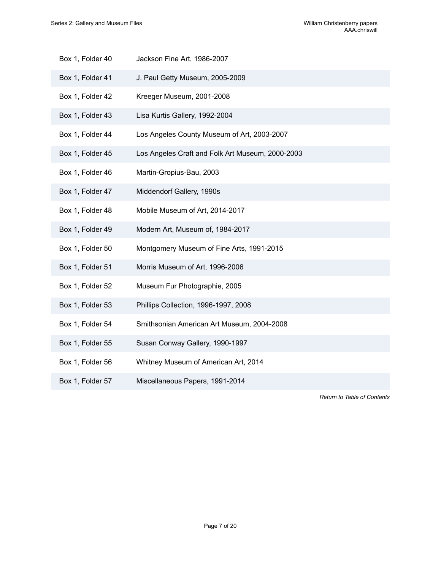- Box 1, Folder 40 Jackson Fine Art, 1986-2007
- Box 1, Folder 41 J. Paul Getty Museum, 2005-2009
- Box 1, Folder 42 Kreeger Museum, 2001-2008
- Box 1, Folder 43 Lisa Kurtis Gallery, 1992-2004
- Box 1, Folder 44 Los Angeles County Museum of Art, 2003-2007
- Box 1, Folder 45 Los Angeles Craft and Folk Art Museum, 2000-2003
- Box 1, Folder 46 Martin-Gropius-Bau, 2003
- Box 1, Folder 47 Middendorf Gallery, 1990s
- Box 1, Folder 48 Mobile Museum of Art, 2014-2017
- Box 1, Folder 49 Modern Art, Museum of, 1984-2017
- Box 1, Folder 50 Montgomery Museum of Fine Arts, 1991-2015
- Box 1, Folder 51 Morris Museum of Art, 1996-2006
- Box 1, Folder 52 Museum Fur Photographie, 2005
- Box 1, Folder 53 Phillips Collection, 1996-1997, 2008
- Box 1, Folder 54 Smithsonian American Art Museum, 2004-2008
- Box 1, Folder 55 Susan Conway Gallery, 1990-1997
- Box 1, Folder 56 Whitney Museum of American Art, 2014
- Box 1, Folder 57 Miscellaneous Papers, 1991-2014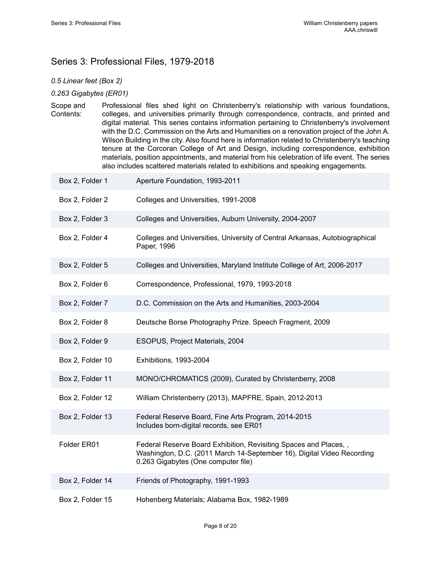## <span id="page-9-0"></span>Series 3: Professional Files, 1979-2018

#### *0.5 Linear feet (Box 2)*

#### *0.263 Gigabytes (ER01)*

Scope and Contents: Professional files shed light on Christenberry's relationship with various foundations, colleges, and universities primarily through correspondence, contracts, and printed and digital material. This series contains information pertaining to Christenberry's involvement with the D.C. Commission on the Arts and Humanities on a renovation project of the John A. Wilson Building in the city. Also found here is information related to Christenberry's teaching tenure at the Corcoran College of Art and Design, including correspondence, exhibition materials, position appointments, and material from his celebration of life event. The series also includes scattered materials related to exhibitions and speaking engagements.

| Box 2, Folder 1  | Aperture Foundation, 1993-2011                                                                                                                                                    |
|------------------|-----------------------------------------------------------------------------------------------------------------------------------------------------------------------------------|
| Box 2, Folder 2  | Colleges and Universities, 1991-2008                                                                                                                                              |
| Box 2, Folder 3  | Colleges and Universities, Auburn University, 2004-2007                                                                                                                           |
| Box 2, Folder 4  | Colleges and Universities, University of Central Arkansas, Autobiographical<br>Paper, 1996                                                                                        |
| Box 2, Folder 5  | Colleges and Universities, Maryland Institute College of Art, 2006-2017                                                                                                           |
| Box 2, Folder 6  | Correspondence, Professional, 1979, 1993-2018                                                                                                                                     |
| Box 2, Folder 7  | D.C. Commission on the Arts and Humanities, 2003-2004                                                                                                                             |
| Box 2, Folder 8  | Deutsche Borse Photography Prize. Speech Fragment, 2009                                                                                                                           |
| Box 2, Folder 9  | ESOPUS, Project Materials, 2004                                                                                                                                                   |
| Box 2, Folder 10 | Exhibitions, 1993-2004                                                                                                                                                            |
| Box 2, Folder 11 | MONO/CHROMATICS (2009), Curated by Christenberry, 2008                                                                                                                            |
| Box 2, Folder 12 | William Christenberry (2013), MAPFRE, Spain, 2012-2013                                                                                                                            |
| Box 2, Folder 13 | Federal Reserve Board, Fine Arts Program, 2014-2015<br>Includes born-digital records, see ER01                                                                                    |
| Folder ER01      | Federal Reserve Board Exhibition, Revisiting Spaces and Places,,<br>Washington, D.C. (2011 March 14-September 16), Digital Video Recording<br>0.263 Gigabytes (One computer file) |
| Box 2, Folder 14 | Friends of Photography, 1991-1993                                                                                                                                                 |
|                  |                                                                                                                                                                                   |

Page 8 of 20

Box 2, Folder 15 Hohenberg Materials; Alabama Box, 1982-1989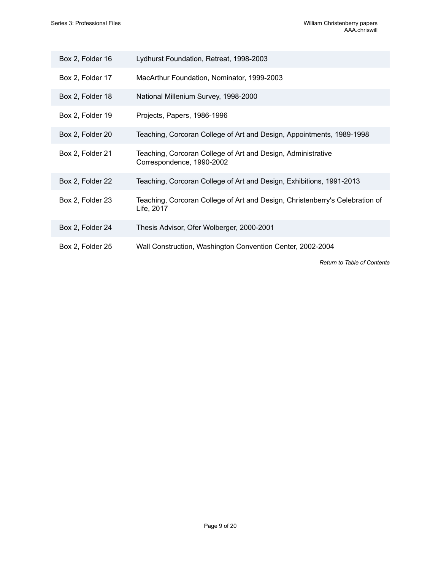| Box 2, Folder 16 | Lydhurst Foundation, Retreat, 1998-2003                                                    |
|------------------|--------------------------------------------------------------------------------------------|
| Box 2, Folder 17 | MacArthur Foundation, Nominator, 1999-2003                                                 |
| Box 2, Folder 18 | National Millenium Survey, 1998-2000                                                       |
| Box 2, Folder 19 | Projects, Papers, 1986-1996                                                                |
| Box 2, Folder 20 | Teaching, Corcoran College of Art and Design, Appointments, 1989-1998                      |
| Box 2, Folder 21 | Teaching, Corcoran College of Art and Design, Administrative<br>Correspondence, 1990-2002  |
| Box 2, Folder 22 | Teaching, Corcoran College of Art and Design, Exhibitions, 1991-2013                       |
| Box 2, Folder 23 | Teaching, Corcoran College of Art and Design, Christenberry's Celebration of<br>Life, 2017 |
| Box 2, Folder 24 | Thesis Advisor, Ofer Wolberger, 2000-2001                                                  |
| Box 2, Folder 25 | Wall Construction, Washington Convention Center, 2002-2004                                 |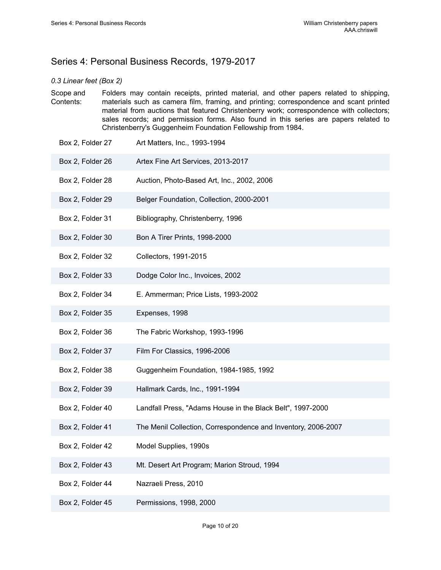## <span id="page-11-0"></span>Series 4: Personal Business Records, 1979-2017

#### *0.3 Linear feet (Box 2)*

- Scope and Contents: Folders may contain receipts, printed material, and other papers related to shipping, materials such as camera film, framing, and printing; correspondence and scant printed material from auctions that featured Christenberry work; correspondence with collectors; sales records; and permission forms. Also found in this series are papers related to Christenberry's Guggenheim Foundation Fellowship from 1984.
- Box 2, Folder 27 Art Matters, Inc., 1993-1994 Box 2, Folder 26 Artex Fine Art Services, 2013-2017 Box 2, Folder 28 Auction, Photo-Based Art, Inc., 2002, 2006 Box 2, Folder 29 Belger Foundation, Collection, 2000-2001 Box 2, Folder 31 Bibliography, Christenberry, 1996 Box 2, Folder 30 Bon A Tirer Prints, 1998-2000 Box 2, Folder 32 Collectors, 1991-2015 Box 2, Folder 33 Dodge Color Inc., Invoices, 2002 Box 2, Folder 34 E. Ammerman; Price Lists, 1993-2002 Box 2, Folder 35 Expenses, 1998 Box 2, Folder 36 The Fabric Workshop, 1993-1996 Box 2, Folder 37 Film For Classics, 1996-2006 Box 2, Folder 38 Guggenheim Foundation, 1984-1985, 1992 Box 2, Folder 39 Hallmark Cards, Inc., 1991-1994 Box 2, Folder 40 Landfall Press, "Adams House in the Black Belt", 1997-2000 Box 2, Folder 41 The Menil Collection, Correspondence and Inventory, 2006-2007 Box 2, Folder 42 Model Supplies, 1990s Box 2, Folder 43 Mt. Desert Art Program; Marion Stroud, 1994
- Box 2, Folder 44 Nazraeli Press, 2010
- Box 2, Folder 45 Permissions, 1998, 2000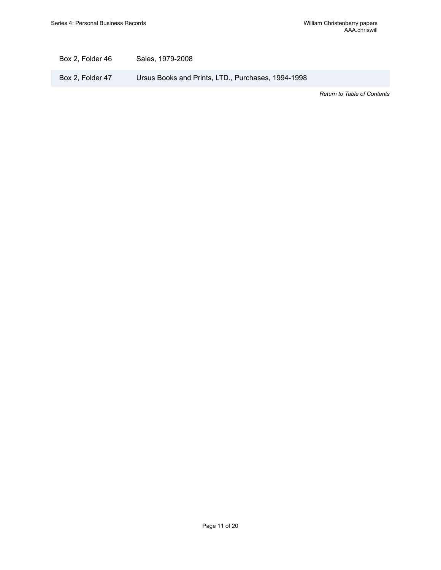Box 2, Folder 46 Sales, 1979-2008

Box 2, Folder 47 Ursus Books and Prints, LTD., Purchases, 1994-1998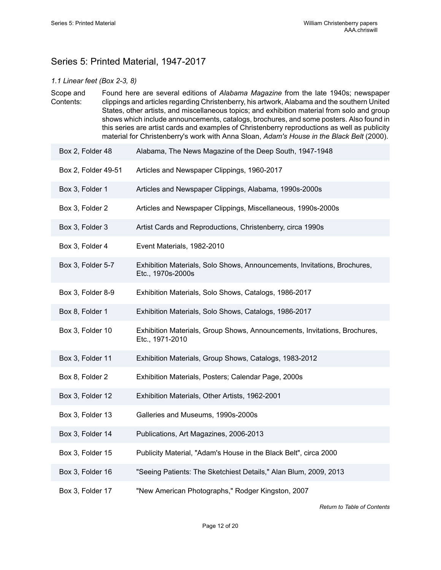## <span id="page-13-0"></span>Series 5: Printed Material, 1947-2017

#### *1.1 Linear feet (Box 2-3, 8)*

Scope and Contents: Found here are several editions of *Alabama Magazine* from the late 1940s; newspaper clippings and articles regarding Christenberry, his artwork, Alabama and the southern United States, other artists, and miscellaneous topics; and exhibition material from solo and group shows which include announcements, catalogs, brochures, and some posters. Also found in this series are artist cards and examples of Christenberry reproductions as well as publicity material for Christenberry's work with Anna Sloan, *Adam's House in the Black Belt* (2000).

- Box 2, Folder 48 Alabama, The News Magazine of the Deep South, 1947-1948
- Box 2, Folder 49-51 Articles and Newspaper Clippings, 1960-2017
- Box 3, Folder 1 Articles and Newspaper Clippings, Alabama, 1990s-2000s
- Box 3, Folder 2 Articles and Newspaper Clippings, Miscellaneous, 1990s-2000s
- Box 3, Folder 3 Artist Cards and Reproductions, Christenberry, circa 1990s
- Box 3, Folder 4 Event Materials, 1982-2010
- Box 3, Folder 5-7 Exhibition Materials, Solo Shows, Announcements, Invitations, Brochures, Etc., 1970s-2000s
- Box 3, Folder 8-9 Exhibition Materials, Solo Shows, Catalogs, 1986-2017
- Box 8, Folder 1 Exhibition Materials, Solo Shows, Catalogs, 1986-2017
- Box 3, Folder 10 Exhibition Materials, Group Shows, Announcements, Invitations, Brochures, Etc., 1971-2010
- Box 3, Folder 11 Exhibition Materials, Group Shows, Catalogs, 1983-2012
- Box 8, Folder 2 Exhibition Materials, Posters; Calendar Page, 2000s
- Box 3, Folder 12 Exhibition Materials, Other Artists, 1962-2001
- Box 3, Folder 13 Galleries and Museums, 1990s-2000s
- Box 3, Folder 14 Publications, Art Magazines, 2006-2013
- Box 3, Folder 15 Publicity Material, "Adam's House in the Black Belt", circa 2000
- Box 3, Folder 16 "Seeing Patients: The Sketchiest Details," Alan Blum, 2009, 2013
- Box 3, Folder 17 "New American Photographs," Rodger Kingston, 2007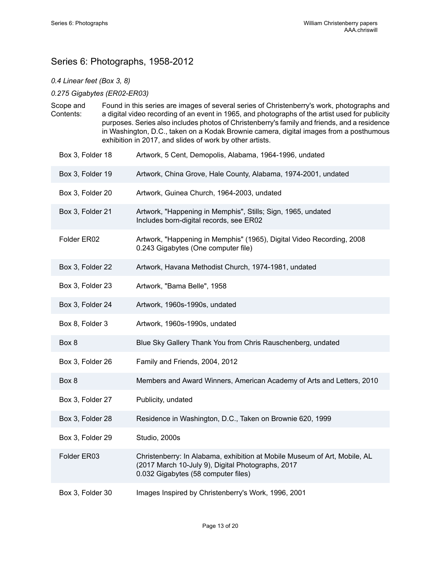## <span id="page-14-0"></span>Series 6: Photographs, 1958-2012

#### *0.4 Linear feet (Box 3, 8)*

#### *0.275 Gigabytes (ER02-ER03)*

- Scope and Contents: Found in this series are images of several series of Christenberry's work, photographs and a digital video recording of an event in 1965, and photographs of the artist used for publicity purposes. Series also includes photos of Christenberry's family and friends, and a residence in Washington, D.C., taken on a Kodak Brownie camera, digital images from a posthumous exhibition in 2017, and slides of work by other artists.
	- Box 3, Folder 18 **Artwork, 5 Cent, Demopolis, Alabama, 1964-1996**, undated Box 3, Folder 19 Artwork, China Grove, Hale County, Alabama, 1974-2001, undated Box 3, Folder 20 Artwork, Guinea Church, 1964-2003, undated Box 3, Folder 21 Artwork, "Happening in Memphis", Stills; Sign, 1965, undated Includes born-digital records, see ER02 Folder ER02 Artwork, "Happening in Memphis" (1965), Digital Video Recording, 2008
	- 0.243 Gigabytes (One computer file)
	- Box 3, Folder 22 Artwork, Havana Methodist Church, 1974-1981, undated
	- Box 3, Folder 23 Artwork, "Bama Belle", 1958
	- Box 3, Folder 24 Artwork, 1960s-1990s, undated
	- Box 8, Folder 3 Artwork, 1960s-1990s, undated
	- Box 8 Blue Sky Gallery Thank You from Chris Rauschenberg, undated
	- Box 3, Folder 26 Family and Friends, 2004, 2012
	- Box 8 Members and Award Winners, American Academy of Arts and Letters, 2010
	- Box 3, Folder 27 Publicity, undated
	- Box 3, Folder 28 Residence in Washington, D.C., Taken on Brownie 620, 1999
	- Box 3, Folder 29 Studio, 2000s
	- Folder ER03 Christenberry: In Alabama, exhibition at Mobile Museum of Art, Mobile, AL (2017 March 10-July 9), Digital Photographs, 2017 0.032 Gigabytes (58 computer files)
	- Box 3, Folder 30 Images Inspired by Christenberry's Work, 1996, 2001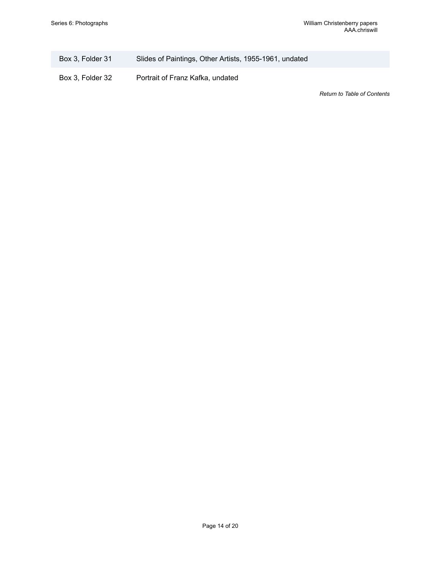| Box 3, Folder 31 | Slides of Paintings, Other Artists, 1955-1961, undated |  |  |
|------------------|--------------------------------------------------------|--|--|
|                  |                                                        |  |  |

Box 3, Folder 32 Portrait of Franz Kafka, undated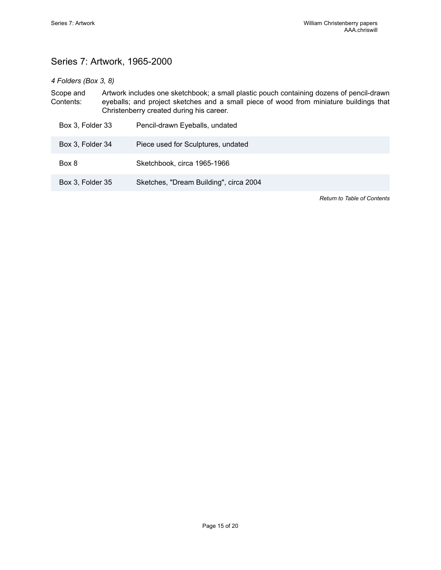## <span id="page-16-0"></span>Series 7: Artwork, 1965-2000

#### *4 Folders (Box 3, 8)*

Scope and Contents: Artwork includes one sketchbook; a small plastic pouch containing dozens of pencil-drawn eyeballs; and project sketches and a small piece of wood from miniature buildings that Christenberry created during his career. Box 3, Folder 33 Pencil-drawn Eyeballs, undated

| <b>DUA U. I UIUUI UU</b> | <u>I</u> choir diawn Eyopalis, dhualcu |
|--------------------------|----------------------------------------|
| Box 3, Folder 34         | Piece used for Sculptures, undated     |
| Box 8                    | Sketchbook, circa 1965-1966            |
| Box 3, Folder 35         | Sketches, "Dream Building", circa 2004 |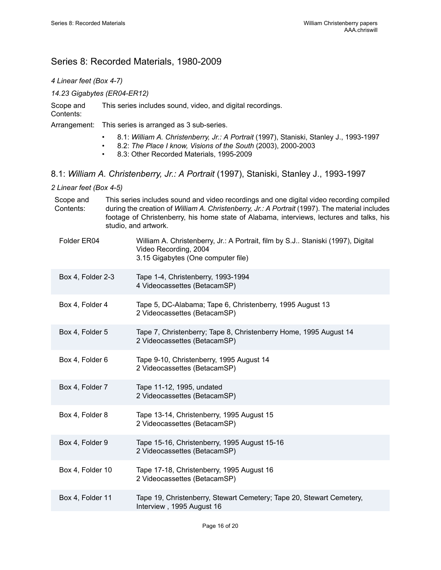## <span id="page-17-0"></span>Series 8: Recorded Materials, 1980-2009

| 4 Linear feet (Box 4-7) |  |
|-------------------------|--|
|-------------------------|--|

*14.23 Gigabytes (ER04-ER12)*

Scope and Contents: This series includes sound, video, and digital recordings.

Arrangement: This series is arranged as 3 sub-series.

- 8.1: *William A. Christenberry, Jr.: A Portrait* (1997), Staniski, Stanley J., 1993-1997
- 8.2: *The Place I know, Visions of the South* (2003), 2000-2003
- 8.3: Other Recorded Materials, 1995-2009
- 8.1: *William A. Christenberry, Jr.: A Portrait* (1997), Staniski, Stanley J., 1993-1997

*2 Linear feet (Box 4-5)*

| Scope and<br>Contents: |  | This series includes sound and video recordings and one digital video recording compiled<br>during the creation of William A. Christenberry, Jr.: A Portrait (1997). The material includes<br>footage of Christenberry, his home state of Alabama, interviews, lectures and talks, his<br>studio, and artwork. |
|------------------------|--|----------------------------------------------------------------------------------------------------------------------------------------------------------------------------------------------------------------------------------------------------------------------------------------------------------------|
| Folder ER04            |  | William A. Christenberry, Jr.: A Portrait, film by S.J Staniski (1997), Digital<br>Video Recording, 2004<br>3.15 Gigabytes (One computer file)                                                                                                                                                                 |
| Box 4, Folder 2-3      |  | Tape 1-4, Christenberry, 1993-1994<br>4 Videocassettes (BetacamSP)                                                                                                                                                                                                                                             |
| Box 4, Folder 4        |  | Tape 5, DC-Alabama; Tape 6, Christenberry, 1995 August 13<br>2 Videocassettes (BetacamSP)                                                                                                                                                                                                                      |
| Box 4, Folder 5        |  | Tape 7, Christenberry; Tape 8, Christenberry Home, 1995 August 14<br>2 Videocassettes (BetacamSP)                                                                                                                                                                                                              |
| Box 4, Folder 6        |  | Tape 9-10, Christenberry, 1995 August 14<br>2 Videocassettes (BetacamSP)                                                                                                                                                                                                                                       |
| Box 4, Folder 7        |  | Tape 11-12, 1995, undated<br>2 Videocassettes (BetacamSP)                                                                                                                                                                                                                                                      |
| Box 4, Folder 8        |  | Tape 13-14, Christenberry, 1995 August 15<br>2 Videocassettes (BetacamSP)                                                                                                                                                                                                                                      |
| Box 4, Folder 9        |  | Tape 15-16, Christenberry, 1995 August 15-16<br>2 Videocassettes (BetacamSP)                                                                                                                                                                                                                                   |
| Box 4, Folder 10       |  | Tape 17-18, Christenberry, 1995 August 16<br>2 Videocassettes (BetacamSP)                                                                                                                                                                                                                                      |
| Box 4, Folder 11       |  | Tape 19, Christenberry, Stewart Cemetery; Tape 20, Stewart Cemetery,<br>Interview, 1995 August 16                                                                                                                                                                                                              |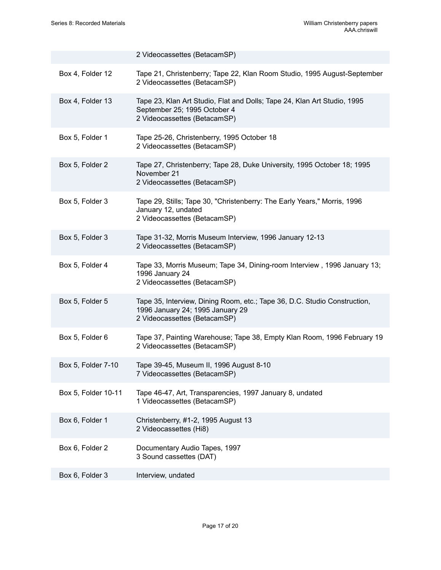|                     | 2 Videocassettes (BetacamSP)                                                                                                                  |
|---------------------|-----------------------------------------------------------------------------------------------------------------------------------------------|
| Box 4, Folder 12    | Tape 21, Christenberry; Tape 22, Klan Room Studio, 1995 August-September<br>2 Videocassettes (BetacamSP)                                      |
| Box 4, Folder 13    | Tape 23, Klan Art Studio, Flat and Dolls; Tape 24, Klan Art Studio, 1995<br>September 25; 1995 October 4<br>2 Videocassettes (BetacamSP)      |
| Box 5, Folder 1     | Tape 25-26, Christenberry, 1995 October 18<br>2 Videocassettes (BetacamSP)                                                                    |
| Box 5, Folder 2     | Tape 27, Christenberry; Tape 28, Duke University, 1995 October 18; 1995<br>November 21<br>2 Videocassettes (BetacamSP)                        |
| Box 5, Folder 3     | Tape 29, Stills; Tape 30, "Christenberry: The Early Years," Morris, 1996<br>January 12, undated<br>2 Videocassettes (BetacamSP)               |
| Box 5, Folder 3     | Tape 31-32, Morris Museum Interview, 1996 January 12-13<br>2 Videocassettes (BetacamSP)                                                       |
| Box 5, Folder 4     | Tape 33, Morris Museum; Tape 34, Dining-room Interview, 1996 January 13;<br>1996 January 24<br>2 Videocassettes (BetacamSP)                   |
| Box 5, Folder 5     | Tape 35, Interview, Dining Room, etc.; Tape 36, D.C. Studio Construction,<br>1996 January 24; 1995 January 29<br>2 Videocassettes (BetacamSP) |
| Box 5, Folder 6     | Tape 37, Painting Warehouse; Tape 38, Empty Klan Room, 1996 February 19<br>2 Videocassettes (BetacamSP)                                       |
| Box 5, Folder 7-10  | Tape 39-45, Museum II, 1996 August 8-10<br>7 Videocassettes (BetacamSP)                                                                       |
| Box 5, Folder 10-11 | Tape 46-47, Art, Transparencies, 1997 January 8, undated<br>1 Videocassettes (BetacamSP)                                                      |
| Box 6, Folder 1     | Christenberry, #1-2, 1995 August 13<br>2 Videocassettes (Hi8)                                                                                 |
| Box 6, Folder 2     | Documentary Audio Tapes, 1997<br>3 Sound cassettes (DAT)                                                                                      |
| Box 6, Folder 3     | Interview, undated                                                                                                                            |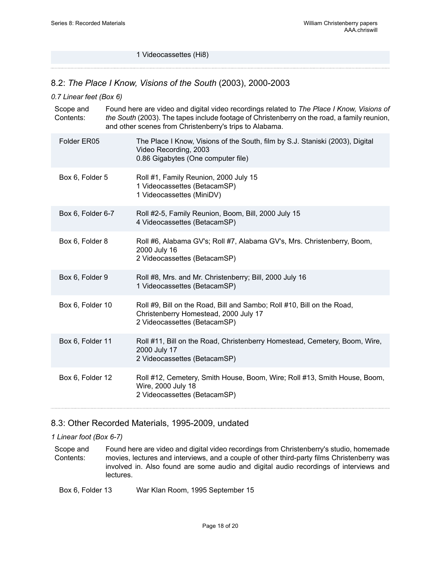#### 1 Videocassettes (Hi8)

#### 8.2: *The Place I Know, Visions of the South* (2003), 2000-2003

#### *0.7 Linear feet (Box 6)*

| Scope and<br>Contents: |                   | Found here are video and digital video recordings related to The Place I Know, Visions of<br>the South (2003). The tapes include footage of Christenberry on the road, a family reunion,<br>and other scenes from Christenberry's trips to Alabama. |
|------------------------|-------------------|-----------------------------------------------------------------------------------------------------------------------------------------------------------------------------------------------------------------------------------------------------|
|                        | Folder ER05       | The Place I Know, Visions of the South, film by S.J. Staniski (2003), Digital<br>Video Recording, 2003<br>0.86 Gigabytes (One computer file)                                                                                                        |
|                        | Box 6, Folder 5   | Roll #1, Family Reunion, 2000 July 15<br>1 Videocassettes (BetacamSP)<br>1 Videocassettes (MiniDV)                                                                                                                                                  |
|                        | Box 6, Folder 6-7 | Roll #2-5, Family Reunion, Boom, Bill, 2000 July 15<br>4 Videocassettes (BetacamSP)                                                                                                                                                                 |
|                        | Box 6, Folder 8   | Roll #6, Alabama GV's; Roll #7, Alabama GV's, Mrs. Christenberry, Boom,<br>2000 July 16<br>2 Videocassettes (BetacamSP)                                                                                                                             |
|                        | Box 6, Folder 9   | Roll #8, Mrs. and Mr. Christenberry; Bill, 2000 July 16<br>1 Videocassettes (BetacamSP)                                                                                                                                                             |
|                        | Box 6, Folder 10  | Roll #9, Bill on the Road, Bill and Sambo; Roll #10, Bill on the Road,<br>Christenberry Homestead, 2000 July 17<br>2 Videocassettes (BetacamSP)                                                                                                     |
|                        | Box 6, Folder 11  | Roll #11, Bill on the Road, Christenberry Homestead, Cemetery, Boom, Wire,<br>2000 July 17<br>2 Videocassettes (BetacamSP)                                                                                                                          |
|                        | Box 6, Folder 12  | Roll #12, Cemetery, Smith House, Boom, Wire; Roll #13, Smith House, Boom,<br>Wire, 2000 July 18<br>2 Videocassettes (BetacamSP)                                                                                                                     |

#### 8.3: Other Recorded Materials, 1995-2009, undated

#### *1 Linear foot (Box 6-7)*

Scope and Contents: Found here are video and digital video recordings from Christenberry's studio, homemade movies, lectures and interviews, and a couple of other third-party films Christenberry was involved in. Also found are some audio and digital audio recordings of interviews and lectures.

Box 6, Folder 13 War Klan Room, 1995 September 15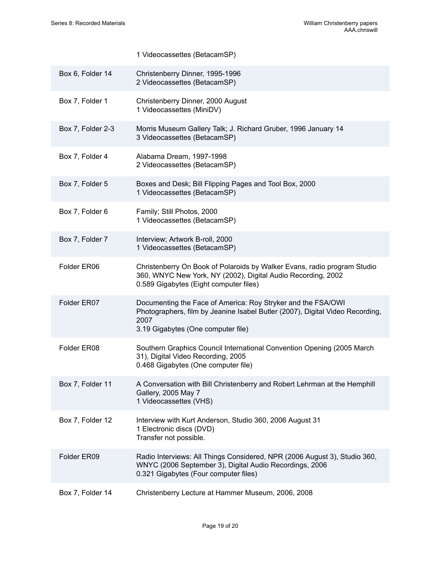|                   | 1 Videocassettes (BetacamSP)                                                                                                                                                                |
|-------------------|---------------------------------------------------------------------------------------------------------------------------------------------------------------------------------------------|
| Box 6, Folder 14  | Christenberry Dinner, 1995-1996<br>2 Videocassettes (BetacamSP)                                                                                                                             |
| Box 7, Folder 1   | Christenberry Dinner, 2000 August<br>1 Videocassettes (MiniDV)                                                                                                                              |
| Box 7, Folder 2-3 | Morris Museum Gallery Talk; J. Richard Gruber, 1996 January 14<br>3 Videocassettes (BetacamSP)                                                                                              |
| Box 7, Folder 4   | Alabama Dream, 1997-1998<br>2 Videocassettes (BetacamSP)                                                                                                                                    |
| Box 7, Folder 5   | Boxes and Desk; Bill Flipping Pages and Tool Box, 2000<br>1 Videocassettes (BetacamSP)                                                                                                      |
| Box 7, Folder 6   | Family; Still Photos, 2000<br>1 Videocassettes (BetacamSP)                                                                                                                                  |
| Box 7, Folder 7   | Interview; Artwork B-roll, 2000<br>1 Videocassettes (BetacamSP)                                                                                                                             |
| Folder ER06       | Christenberry On Book of Polaroids by Walker Evans, radio program Studio<br>360, WNYC New York, NY (2002), Digital Audio Recording, 2002<br>0.589 Gigabytes (Eight computer files)          |
| Folder ER07       | Documenting the Face of America: Roy Stryker and the FSA/OWI<br>Photographers, film by Jeanine Isabel Butler (2007), Digital Video Recording,<br>2007<br>3.19 Gigabytes (One computer file) |
| Folder ER08       | Southern Graphics Council International Convention Opening (2005 March<br>31), Digital Video Recording, 2005<br>0.468 Gigabytes (One computer file)                                         |
| Box 7, Folder 11  | A Conversation with Bill Christenberry and Robert Lehrman at the Hemphill<br>Gallery, 2005 May 7<br>1 Videocassettes (VHS)                                                                  |
| Box 7, Folder 12  | Interview with Kurt Anderson, Studio 360, 2006 August 31<br>1 Electronic discs (DVD)<br>Transfer not possible.                                                                              |
| Folder ER09       | Radio Interviews: All Things Considered, NPR (2006 August 3), Studio 360,<br>WNYC (2006 September 3), Digital Audio Recordings, 2006<br>0.321 Gigabytes (Four computer files)               |
| Box 7, Folder 14  | Christenberry Lecture at Hammer Museum, 2006, 2008                                                                                                                                          |